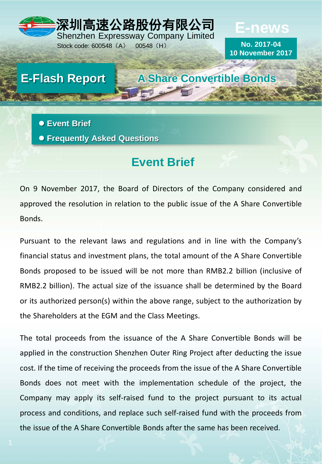

Stock code: 600548 (A) 00548 (H)

# **E-news**

**No. 2017-04 10 November 2017**

**E-Flash Report A Share Convertible Bonds**

 **Event Brief Frequently Asked Questions**

**Event Brief**

On 9 November 2017, the Board of Directors of the Company considered and approved the resolution in relation to the public issue of the A Share Convertible Bonds.

Pursuant to the relevant laws and regulations and in line with the Company's financial status and investment plans, the total amount of the A Share Convertible Bonds proposed to be issued will be not more than RMB2.2 billion (inclusive of RMB2.2 billion). The actual size of the issuance shall be determined by the Board or its authorized person(s) within the above range, subject to the authorization by the Shareholders at the EGM and the Class Meetings.

The total proceeds from the issuance of the A Share Convertible Bonds will be applied in the construction Shenzhen Outer Ring Project after deducting the issue cost. If the time of receiving the proceeds from the issue of the A Share Convertible Bonds does not meet with the implementation schedule of the project, the Company may apply its self-raised fund to the project pursuant to its actual process and conditions, and replace such self-raised fund with the proceeds from the issue of the A Share Convertible Bonds after the same has been received.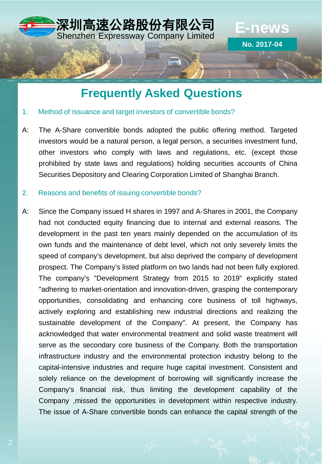

# **Frequently Asked Questions**

### 1. Method of issuance and target investors of convertible bonds?

A: The A-Share convertible bonds adopted the public offering method. Targeted investors would be a natural person, a legal person, a securities investment fund, other investors who comply with laws and regulations, etc. (except those prohibited by state laws and regulations) holding securities accounts of China Securities Depository and Clearing Corporation Limited of Shanghai Branch.

### 2. Reasons and benefits of issuing convertible bonds?

A: Since the Company issued H shares in 1997 and A-Shares in 2001, the Company had not conducted equity financing due to internal and external reasons. The development in the past ten years mainly depended on the accumulation of its own funds and the maintenance of debt level, which not only severely limits the speed of company's development, but also deprived the company of development prospect. The Company's listed platform on two lands had not been fully explored. The company's "Development Strategy from 2015 to 2019" explicitly stated "adhering to market-orientation and innovation-driven, grasping the contemporary opportunities, consolidating and enhancing core business of toll highways, actively exploring and establishing new industrial directions and realizing the sustainable development of the Company". At present, the Company has acknowledged that water environmental treatment and solid waste treatment will serve as the secondary core business of the Company. Both the transportation infrastructure industry and the environmental protection industry belong to the capital-intensive industries and require huge capital investment. Consistent and solely reliance on the development of borrowing will significantly increase the Company's financial risk, thus limiting the development capability of the Company ,missed the opportunities in development within respective industry. The issue of A-Share convertible bonds can enhance the capital strength of the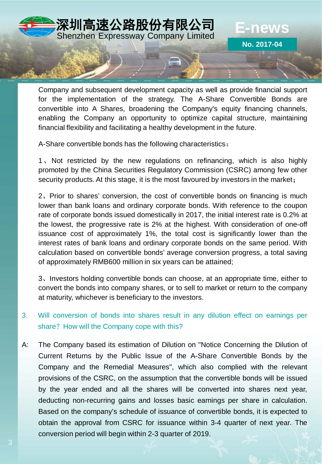

Company and subsequent development capacity as well as provide financial support for the implementation of the strategy. The A-Share Convertible Bonds are convertible into A Shares, broadening the Company's equity financing channels, enabling the Company an opportunity to optimize capital structure, maintaining financial flexibility and facilitating a healthy development in the future.

A-Share convertible bonds has the following characteristics:

1、Not restricted by the new regulations on refinancing, which is also highly promoted by the China Securities Regulatory Commission (CSRC) among few other security products. At this stage, it is the most favoured by investors in the market;

2、Prior to shares' conversion, the cost of convertible bonds on financing is much lower than bank loans and ordinary corporate bonds. With reference to the coupon rate of corporate bonds issued domestically in 2017, the initial interest rate is 0.2% at the lowest, the progressive rate is 2% at the highest. With consideration of one-off issuance cost of approximately 1%, the total cost is significantly lower than the interest rates of bank loans and ordinary corporate bonds on the same period. With calculation based on convertible bonds' average conversion progress, a total saving of approximately RMB600 million in six years can be attained;

3、Investors holding convertible bonds can choose, at an appropriate time, either to convert the bonds into company shares, or to sell to market or return to the company at maturity, whichever is beneficiary to the investors.

- 3. Will conversion of bonds into shares result in any dilution effect on earnings per share? How will the Company cope with this?
- A: The Company based its estimation of Dilution on "Notice Concerning the Dilution of Current Returns by the Public Issue of the A-Share Convertible Bonds by the Company and the Remedial Measures", which also complied with the relevant provisions of the CSRC, on the assumption that the convertible bonds will be issued by the year ended and all the shares will be converted into shares next year, deducting non-recurring gains and losses basic earnings per share in calculation. Based on the company's schedule of issuance of convertible bonds, it is expected to obtain the approval from CSRC for issuance within 3-4 quarter of next year. The conversion period will begin within 2-3 quarter of 2019.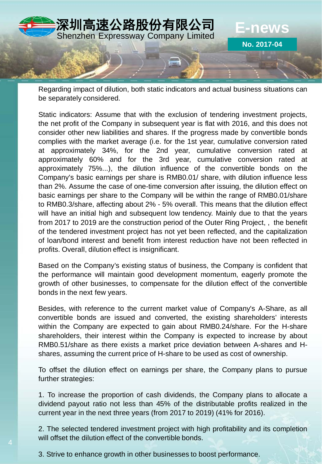

Regarding impact of dilution, both static indicators and actual business situations can be separately considered.

Static indicators: Assume that with the exclusion of tendering investment projects, the net profit of the Company in subsequent year is flat with 2016, and this does not consider other new liabilities and shares. If the progress made by convertible bonds complies with the market average (i.e. for the 1st year, cumulative conversion rated at approximately 34%, for the 2nd year, cumulative conversion rated at approximately 60% and for the 3rd year, cumulative conversion rated at approximately 75%...), the dilution influence of the convertible bonds on the Company's basic earnings per share is RMB0.01/ share, with dilution influence less than 2%. Assume the case of one-time conversion after issuing, the dilution effect on basic earnings per share to the Company will be within the range of RMB0.01/share to RMB0.3/share, affecting about 2% - 5% overall. This means that the dilution effect will have an initial high and subsequent low tendency. Mainly due to that the years from 2017 to 2019 are the construction period of the Outer Ring Project, , the benefit of the tendered investment project has not yet been reflected, and the capitalization of loan/bond interest and benefit from interest reduction have not been reflected in profits. Overall, dilution effect is insignificant.

Based on the Company's existing status of business, the Company is confident that the performance will maintain good development momentum, eagerly promote the growth of other businesses, to compensate for the dilution effect of the convertible bonds in the next few years.

Besides, with reference to the current market value of Company's A-Share, as all convertible bonds are issued and converted, the existing shareholders' interests within the Company are expected to gain about RMB0.24/share. For the H-share shareholders, their interest within the Company is expected to increase by about RMB0.51/share as there exists a market price deviation between A-shares and Hshares, assuming the current price of H-share to be used as cost of ownership.

To offset the dilution effect on earnings per share, the Company plans to pursue further strategies:

1. To increase the proportion of cash dividends, the Company plans to allocate a dividend payout ratio not less than 45% of the distributable profits realized in the current year in the next three years (from 2017 to 2019) (41% for 2016).

2. The selected tendered investment project with high profitability and its completion will offset the dilution effect of the convertible bonds.

3. Strive to enhance growth in other businesses to boost performance.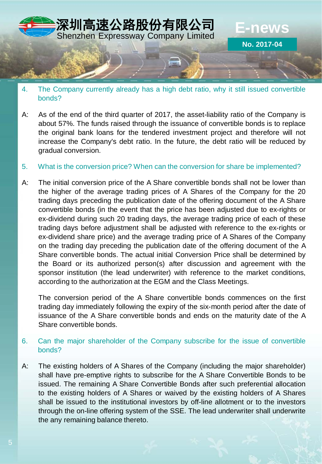

- 4. The Company currently already has a high debt ratio, why it still issued convertible bonds?
- A: As of the end of the third quarter of 2017, the asset-liability ratio of the Company is about 57%. The funds raised through the issuance of convertible bonds is to replace the original bank loans for the tendered investment project and therefore will not increase the Company's debt ratio. In the future, the debt ratio will be reduced by gradual conversion.
- 5. What is the conversion price? When can the conversion for share be implemented?
- A: The initial conversion price of the A Share convertible bonds shall not be lower than the higher of the average trading prices of A Shares of the Company for the 20 trading days preceding the publication date of the offering document of the A Share convertible bonds (in the event that the price has been adjusted due to ex-rights or ex-dividend during such 20 trading days, the average trading price of each of these trading days before adjustment shall be adjusted with reference to the ex-rights or ex-dividend share price) and the average trading price of A Shares of the Company on the trading day preceding the publication date of the offering document of the A Share convertible bonds. The actual initial Conversion Price shall be determined by the Board or its authorized person(s) after discussion and agreement with the sponsor institution (the lead underwriter) with reference to the market conditions, according to the authorization at the EGM and the Class Meetings.

The conversion period of the A Share convertible bonds commences on the first trading day immediately following the expiry of the six-month period after the date of issuance of the A Share convertible bonds and ends on the maturity date of the A Share convertible bonds.

## 6. Can the major shareholder of the Company subscribe for the issue of convertible bonds?

A: The existing holders of A Shares of the Company (including the major shareholder) shall have pre-emptive rights to subscribe for the A Share Convertible Bonds to be issued. The remaining A Share Convertible Bonds after such preferential allocation to the existing holders of A Shares or waived by the existing holders of A Shares shall be issued to the institutional investors by off-line allotment or to the investors through the on-line offering system of the SSE. The lead underwriter shall underwrite the any remaining balance thereto.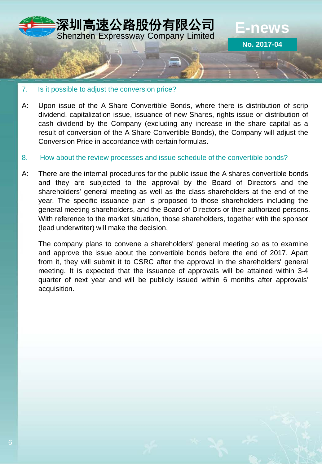

- 7. Is it possible to adjust the conversion price?
- A: Upon issue of the A Share Convertible Bonds, where there is distribution of scrip dividend, capitalization issue, issuance of new Shares, rights issue or distribution of cash dividend by the Company (excluding any increase in the share capital as a result of conversion of the A Share Convertible Bonds), the Company will adjust the Conversion Price in accordance with certain formulas.
- 8. How about the review processes and issue schedule of the convertible bonds?
- A: There are the internal procedures for the public issue the A shares convertible bonds and they are subjected to the approval by the Board of Directors and the shareholders' general meeting as well as the class shareholders at the end of the year. The specific issuance plan is proposed to those shareholders including the general meeting shareholders, and the Board of Directors or their authorized persons. With reference to the market situation, those shareholders, together with the sponsor (lead underwriter) will make the decision,

The company plans to convene a shareholders' general meeting so as to examine and approve the issue about the convertible bonds before the end of 2017. Apart from it, they will submit it to CSRC after the approval in the shareholders' general meeting. It is expected that the issuance of approvals will be attained within 3-4 quarter of next year and will be publicly issued within 6 months after approvals' acquisition.